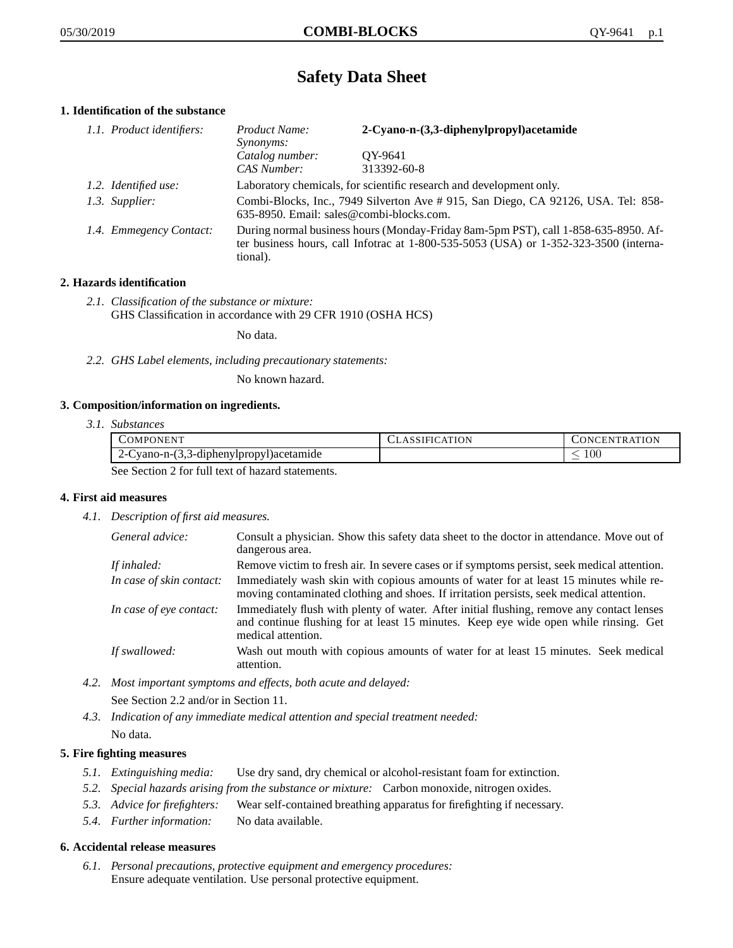# **Safety Data Sheet**

# **1. Identification of the substance**

| 1.1. Product identifiers: | Product Name:<br><i>Synonyms:</i>                                                                                                                                                           | 2-Cyano-n-(3,3-diphenylpropyl)acetamide |
|---------------------------|---------------------------------------------------------------------------------------------------------------------------------------------------------------------------------------------|-----------------------------------------|
|                           | Catalog number:<br>CAS Number:                                                                                                                                                              | OY-9641<br>313392-60-8                  |
| 1.2. Identified use:      | Laboratory chemicals, for scientific research and development only.                                                                                                                         |                                         |
| 1.3. Supplier:            | Combi-Blocks, Inc., 7949 Silverton Ave # 915, San Diego, CA 92126, USA. Tel: 858-<br>635-8950. Email: sales@combi-blocks.com.                                                               |                                         |
| 1.4. Emmegency Contact:   | During normal business hours (Monday-Friday 8am-5pm PST), call 1-858-635-8950. Af-<br>ter business hours, call Infotrac at $1-800-535-5053$ (USA) or $1-352-323-3500$ (interna-<br>tional). |                                         |

# **2. Hazards identification**

*2.1. Classification of the substance or mixture:* GHS Classification in accordance with 29 CFR 1910 (OSHA HCS)

No data.

*2.2. GHS Label elements, including precautionary statements:*

No known hazard.

#### **3. Composition/information on ingredients.**

*3.1. Substances*

| COMPONENT                                        | CLASSIFICATION | <b>CONCENTRATION</b> |
|--------------------------------------------------|----------------|----------------------|
| .3-diphenylpropyl)acetamide<br>-3.3- vano-n      |                | -00                  |
| See Section 2 for full text of hegard statements |                |                      |

See Section 2 for full text of hazard statements.

# **4. First aid measures**

*4.1. Description of first aid measures.*

| General advice:          | Consult a physician. Show this safety data sheet to the doctor in attendance. Move out of<br>dangerous area.                                                                                            |
|--------------------------|---------------------------------------------------------------------------------------------------------------------------------------------------------------------------------------------------------|
| If inhaled:              | Remove victim to fresh air. In severe cases or if symptoms persist, seek medical attention.                                                                                                             |
| In case of skin contact: | Immediately wash skin with copious amounts of water for at least 15 minutes while re-<br>moving contaminated clothing and shoes. If irritation persists, seek medical attention.                        |
| In case of eye contact:  | Immediately flush with plenty of water. After initial flushing, remove any contact lenses<br>and continue flushing for at least 15 minutes. Keep eye wide open while rinsing. Get<br>medical attention. |
| If swallowed:            | Wash out mouth with copious amounts of water for at least 15 minutes. Seek medical<br>attention.                                                                                                        |

*4.2. Most important symptoms and effects, both acute and delayed:*

See Section 2.2 and/or in Section 11.

*4.3. Indication of any immediate medical attention and special treatment needed:* No data.

## **5. Fire fighting measures**

- *5.1. Extinguishing media:* Use dry sand, dry chemical or alcohol-resistant foam for extinction.
- *5.2. Special hazards arising from the substance or mixture:* Carbon monoxide, nitrogen oxides.
- *5.3. Advice for firefighters:* Wear self-contained breathing apparatus for firefighting if necessary.
- *5.4. Further information:* No data available.

#### **6. Accidental release measures**

*6.1. Personal precautions, protective equipment and emergency procedures:* Ensure adequate ventilation. Use personal protective equipment.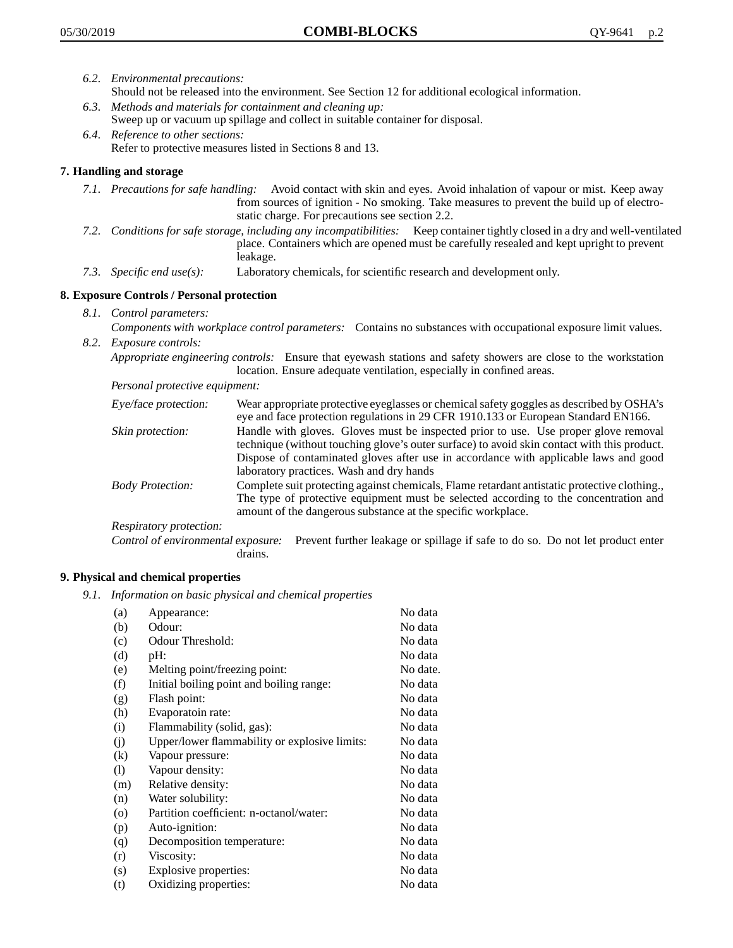- *6.2. Environmental precautions:* Should not be released into the environment. See Section 12 for additional ecological information.
- *6.3. Methods and materials for containment and cleaning up:* Sweep up or vacuum up spillage and collect in suitable container for disposal.
- *6.4. Reference to other sections:* Refer to protective measures listed in Sections 8 and 13.

# **7. Handling and storage**

- *7.1. Precautions for safe handling:* Avoid contact with skin and eyes. Avoid inhalation of vapour or mist. Keep away from sources of ignition - No smoking. Take measures to prevent the build up of electrostatic charge. For precautions see section 2.2.
- *7.2. Conditions for safe storage, including any incompatibilities:* Keep container tightly closed in a dry and well-ventilated place. Containers which are opened must be carefully resealed and kept upright to prevent leakage.
- *7.3. Specific end use(s):* Laboratory chemicals, for scientific research and development only.

# **8. Exposure Controls / Personal protection**

- *8.1. Control parameters:*
- *Components with workplace control parameters:* Contains no substances with occupational exposure limit values. *8.2. Exposure controls:*

*Appropriate engineering controls:* Ensure that eyewash stations and safety showers are close to the workstation location. Ensure adequate ventilation, especially in confined areas.

*Personal protective equipment:*

| Eye/face protection:    | Wear appropriate protective eyeglasses or chemical safety goggles as described by OSHA's<br>eye and face protection regulations in 29 CFR 1910.133 or European Standard EN166.                                                                                                                                         |
|-------------------------|------------------------------------------------------------------------------------------------------------------------------------------------------------------------------------------------------------------------------------------------------------------------------------------------------------------------|
| Skin protection:        | Handle with gloves. Gloves must be inspected prior to use. Use proper glove removal<br>technique (without touching glove's outer surface) to avoid skin contact with this product.<br>Dispose of contaminated gloves after use in accordance with applicable laws and good<br>laboratory practices. Wash and dry hands |
| <b>Body Protection:</b> | Complete suit protecting against chemicals, Flame retardant antistatic protective clothing.,<br>The type of protective equipment must be selected according to the concentration and<br>amount of the dangerous substance at the specific workplace.                                                                   |
| Respiratory protection: |                                                                                                                                                                                                                                                                                                                        |

Control of environmental exposure: Prevent further leakage or spillage if safe to do so. Do not let product enter drains.

#### **9. Physical and chemical properties**

*9.1. Information on basic physical and chemical properties*

| (a)                        | Appearance:                                   | No data  |
|----------------------------|-----------------------------------------------|----------|
| (b)                        | Odour:                                        | No data  |
| (c)                        | Odour Threshold:                              | No data  |
| (d)                        | pH:                                           | No data  |
| (e)                        | Melting point/freezing point:                 | No date. |
| (f)                        | Initial boiling point and boiling range:      | No data  |
| (g)                        | Flash point:                                  | No data  |
| (h)                        | Evaporatoin rate:                             | No data  |
| (i)                        | Flammability (solid, gas):                    | No data  |
| (j)                        | Upper/lower flammability or explosive limits: | No data  |
| (k)                        | Vapour pressure:                              | No data  |
| $\left( \mathrm{l}\right)$ | Vapour density:                               | No data  |
| (m)                        | Relative density:                             | No data  |
| (n)                        | Water solubility:                             | No data  |
| $\circ$                    | Partition coefficient: n-octanol/water:       | No data  |
| (p)                        | Auto-ignition:                                | No data  |
| (q)                        | Decomposition temperature:                    | No data  |
| (r)                        | Viscosity:                                    | No data  |
| (s)                        | Explosive properties:                         | No data  |
| (t)                        | Oxidizing properties:                         | No data  |